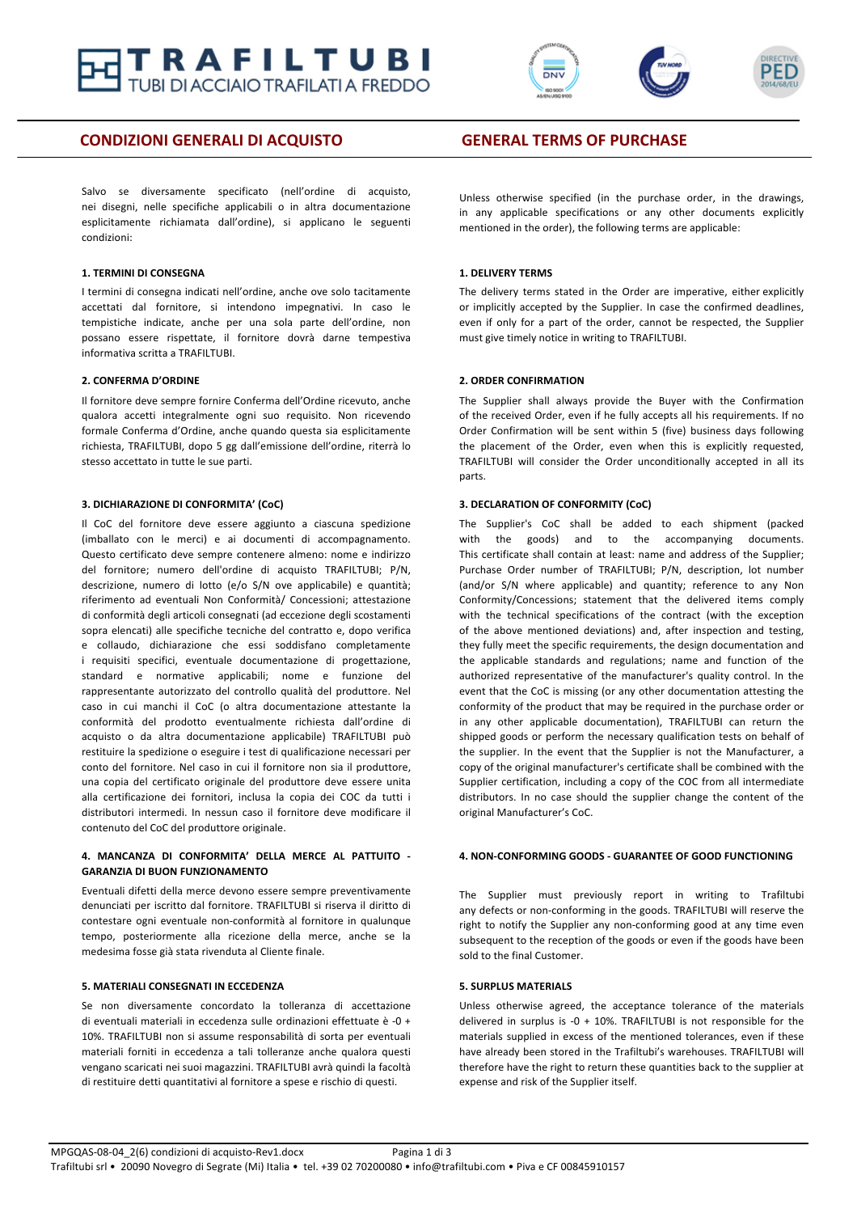



### **CONDIZIONI GENERALI DI ACQUISTO <b>GENERAL TERMS OF PURCHASE**

Salvo se diversamente specificato (nell'ordine di acquisto, nei disegni, nelle specifiche applicabili o in altra documentazione esplicitamente richiamata dall'ordine), si applicano le seguenti condizioni:

#### **1. TERMINI DI CONSEGNA**

I termini di consegna indicati nell'ordine, anche ove solo tacitamente accettati dal fornitore, si intendono impegnativi. In caso le tempistiche indicate, anche per una sola parte dell'ordine, non possano essere rispettate, il fornitore dovrà darne tempestiva informativa scritta a TRAFILTUBI.

#### **2. CONFERMA D'ORDINE**

Il fornitore deve sempre fornire Conferma dell'Ordine ricevuto, anche qualora accetti integralmente ogni suo requisito. Non ricevendo formale Conferma d'Ordine, anche quando questa sia esplicitamente richiesta, TRAFILTUBI, dopo 5 gg dall'emissione dell'ordine, riterrà lo stesso accettato in tutte le sue parti.

#### **3. DICHIARAZIONE DI CONFORMITA' (CoC)**

Il CoC del fornitore deve essere aggiunto a ciascuna spedizione (imballato con le merci) e ai documenti di accompagnamento. Questo certificato deve sempre contenere almeno: nome e indirizzo del fornitore; numero dell'ordine di acquisto TRAFILTUBI; P/N, descrizione, numero di lotto (e/o S/N ove applicabile) e quantità; riferimento ad eventuali Non Conformità/ Concessioni; attestazione di conformità degli articoli consegnati (ad eccezione degli scostamenti sopra elencati) alle specifiche tecniche del contratto e, dopo verifica e collaudo, dichiarazione che essi soddisfano completamente i requisiti specifici, eventuale documentazione di progettazione, standard e normative applicabili: nome e funzione del rappresentante autorizzato del controllo qualità del produttore. Nel caso in cui manchi il CoC (o altra documentazione attestante la conformità del prodotto eventualmente richiesta dall'ordine di acquisto o da altra documentazione applicabile) TRAFILTUBI può restituire la spedizione o eseguire i test di qualificazione necessari per conto del fornitore. Nel caso in cui il fornitore non sia il produttore, una copia del certificato originale del produttore deve essere unita alla certificazione dei fornitori, inclusa la copia dei COC da tutti i distributori intermedi. In nessun caso il fornitore deve modificare il contenuto del CoC del produttore originale.

#### **4. MANCANZA DI CONFORMITA' DELLA MERCE AL PATTUITO - GARANZIA DI BUON FUNZIONAMENTO**

Eventuali difetti della merce devono essere sempre preventivamente denunciati per iscritto dal fornitore. TRAFILTUBI si riserva il diritto di contestare ogni eventuale non-conformità al fornitore in qualunque tempo, posteriormente alla ricezione della merce, anche se la medesima fosse già stata rivenduta al Cliente finale.

### **5. MATERIALI CONSEGNATI IN ECCEDENZA**

Se non diversamente concordato la tolleranza di accettazione di eventuali materiali in eccedenza sulle ordinazioni effettuate è -0 + 10%. TRAFILTUBI non si assume responsabilità di sorta per eventuali materiali forniti in eccedenza a tali tolleranze anche qualora questi vengano scaricati nei suoi magazzini. TRAFILTUBI avrà quindi la facoltà di restituire detti quantitativi al fornitore a spese e rischio di questi.

Unless otherwise specified (in the purchase order, in the drawings, in any applicable specifications or any other documents explicitly mentioned in the order), the following terms are applicable:

#### **1. DELIVERY TERMS**

The delivery terms stated in the Order are imperative, either explicitly or implicitly accepted by the Supplier. In case the confirmed deadlines, even if only for a part of the order, cannot be respected, the Supplier must give timely notice in writing to TRAFILTUBI.

#### **2. ORDER CONFIRMATION**

The Supplier shall always provide the Buyer with the Confirmation of the received Order, even if he fully accepts all his requirements. If no Order Confirmation will be sent within 5 (five) business days following the placement of the Order, even when this is explicitly requested, TRAFILTUBI will consider the Order unconditionally accepted in all its parts.

#### **3. DECLARATION OF CONFORMITY (CoC)**

The Supplier's CoC shall be added to each shipment (packed with the goods) and to the accompanying documents. This certificate shall contain at least: name and address of the Supplier: Purchase Order number of TRAFILTUBI; P/N, description, lot number (and/or S/N where applicable) and quantity; reference to any Non Conformity/Concessions; statement that the delivered items comply with the technical specifications of the contract (with the exception of the above mentioned deviations) and, after inspection and testing, they fully meet the specific requirements, the design documentation and the applicable standards and regulations; name and function of the authorized representative of the manufacturer's quality control. In the event that the CoC is missing (or any other documentation attesting the conformity of the product that may be required in the purchase order or in any other applicable documentation), TRAFILTUBI can return the shipped goods or perform the necessary qualification tests on behalf of the supplier. In the event that the Supplier is not the Manufacturer, a copy of the original manufacturer's certificate shall be combined with the Supplier certification, including a copy of the COC from all intermediate distributors. In no case should the supplier change the content of the original Manufacturer's CoC.

#### **4. NON-CONFORMING GOODS - GUARANTEE OF GOOD FUNCTIONING**

The Supplier must previously report in writing to Trafiltubi any defects or non-conforming in the goods. TRAFILTUBI will reserve the right to notify the Supplier any non-conforming good at any time even subsequent to the reception of the goods or even if the goods have been sold to the final Customer.

### **5. SURPLUS MATERIALS**

Unless otherwise agreed, the acceptance tolerance of the materials delivered in surplus is -0 + 10%. TRAFILTUBI is not responsible for the materials supplied in excess of the mentioned tolerances, even if these have already been stored in the Trafiltubi's warehouses. TRAFILTUBI will therefore have the right to return these quantities back to the supplier at expense and risk of the Supplier itself.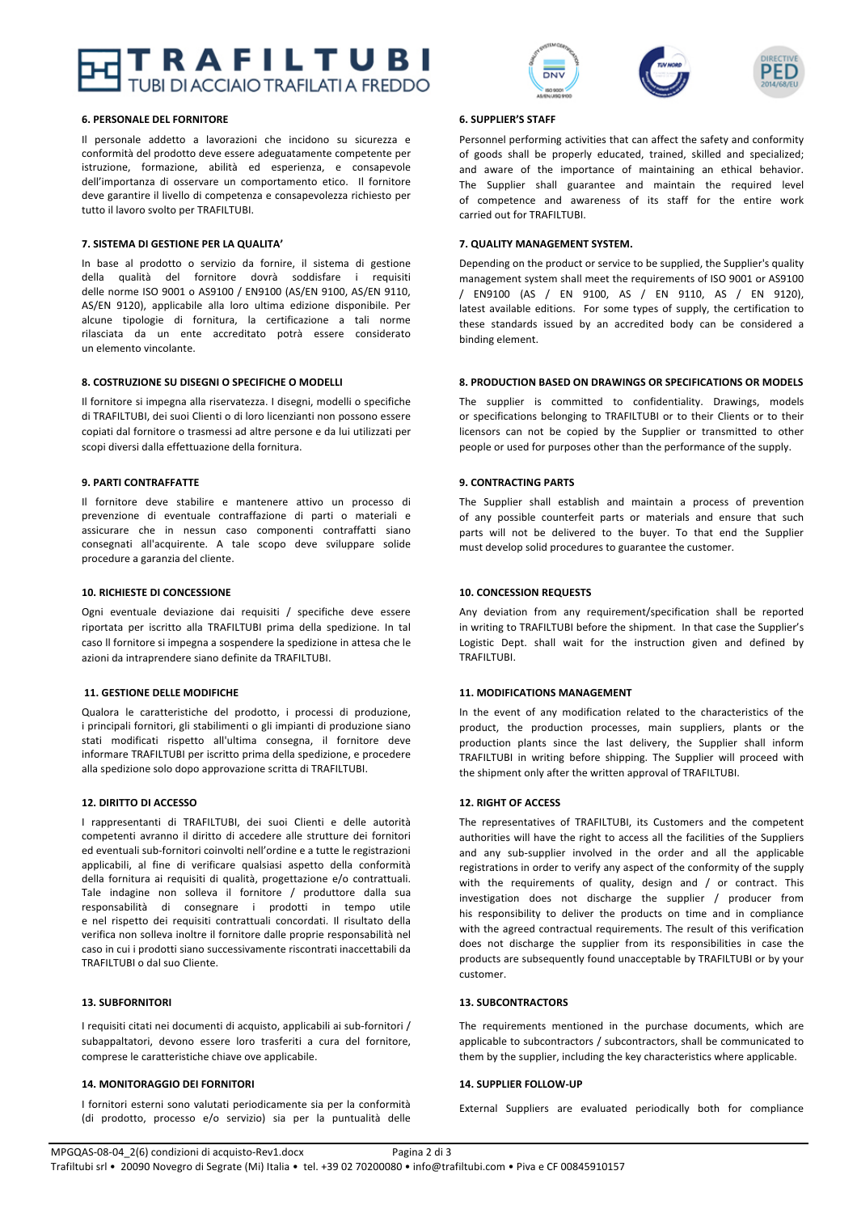## TRAFILTUBI **CCIAIO TRAFILATI A FREDDO**

#### **6. PERSONALE DEL FORNITORE**

Il personale addetto a lavorazioni che incidono su sicurezza e conformità del prodotto deve essere adeguatamente competente per istruzione, formazione, abilità ed esperienza, e consapevole dell'importanza di osservare un comportamento etico. Il fornitore deve garantire il livello di competenza e consapevolezza richiesto per tutto il lavoro svolto per TRAFILTUBI.

#### **7. SISTEMA DI GESTIONE PER LA QUALITA'**

In base al prodotto o servizio da fornire, il sistema di gestione della qualità del fornitore dovrà soddisfare i requisiti delle norme ISO 9001 o AS9100 / EN9100 (AS/EN 9100, AS/EN 9110, AS/EN 9120), applicabile alla loro ultima edizione disponibile. Per alcune tipologie di fornitura, la certificazione a tali norme rilasciata da un ente accreditato potrà essere considerato un elemento vincolante.

#### **8. COSTRUZIONE SU DISEGNI O SPECIFICHE O MODELLI**

Il fornitore si impegna alla riservatezza. I disegni, modelli o specifiche di TRAFILTUBI, dei suoi Clienti o di loro licenzianti non possono essere copiati dal fornitore o trasmessi ad altre persone e da lui utilizzati per scopi diversi dalla effettuazione della fornitura.

#### **9. PARTI CONTRAFFATTE**

Il fornitore deve stabilire e mantenere attivo un processo di prevenzione di eventuale contraffazione di parti o materiali e assicurare che in nessun caso componenti contraffatti siano consegnati all'acquirente. A tale scopo deve sviluppare solide procedure a garanzia del cliente.

#### **10. RICHIESTE DI CONCESSIONE**

Ogni eventuale deviazione dai requisiti / specifiche deve essere riportata per iscritto alla TRAFILTUBI prima della spedizione. In tal caso II fornitore si impegna a sospendere la spedizione in attesa che le azioni da intraprendere siano definite da TRAFILTUBI.

#### **11. GESTIONE DELLE MODIFICHE**

Qualora le caratteristiche del prodotto, i processi di produzione, i principali fornitori, gli stabilimenti o gli impianti di produzione siano stati modificati rispetto all'ultima consegna, il fornitore deve informare TRAFILTUBI per iscritto prima della spedizione, e procedere alla spedizione solo dopo approvazione scritta di TRAFILTUBI.

#### **12. DIRITTO DI ACCESSO**

I rappresentanti di TRAFILTUBI, dei suoi Clienti e delle autorità competenti avranno il diritto di accedere alle strutture dei fornitori ed eventuali sub-fornitori coinvolti nell'ordine e a tutte le registrazioni applicabili, al fine di verificare qualsiasi aspetto della conformità della fornitura ai requisiti di qualità, progettazione e/o contrattuali. Tale indagine non solleva il fornitore / produttore dalla sua responsabilità di consegnare i prodotti in tempo utile e nel rispetto dei requisiti contrattuali concordati. Il risultato della verifica non solleva inoltre il fornitore dalle proprie responsabilità nel caso in cui i prodotti siano successivamente riscontrati inaccettabili da TRAFILTUBI o dal suo Cliente.

#### **13. SUBFORNITORI**

I requisiti citati nei documenti di acquisto, applicabili ai sub-fornitori / subappaltatori, devono essere loro trasferiti a cura del fornitore, comprese le caratteristiche chiave ove applicabile.

#### **14. MONITORAGGIO DEI FORNITORI**

I fornitori esterni sono valutati periodicamente sia per la conformità (di prodotto, processo e/o servizio) sia per la puntualità delle





#### **6. SUPPLIER'S STAFF**

Personnel performing activities that can affect the safety and conformity of goods shall be properly educated, trained, skilled and specialized; and aware of the importance of maintaining an ethical behavior. The Supplier shall guarantee and maintain the required level of competence and awareness of its staff for the entire work carried out for TRAFILTUBI.

#### **7. QUALITY MANAGEMENT SYSTEM.**

Depending on the product or service to be supplied, the Supplier's quality management system shall meet the requirements of ISO 9001 or AS9100 / EN9100 (AS / EN 9100, AS / EN 9110, AS / EN 9120), latest available editions. For some types of supply, the certification to these standards issued by an accredited body can be considered a binding element.

#### **8. PRODUCTION BASED ON DRAWINGS OR SPECIFICATIONS OR MODELS**

The supplier is committed to confidentiality. Drawings, models or specifications belonging to TRAFILTUBI or to their Clients or to their licensors can not be copied by the Supplier or transmitted to other people or used for purposes other than the performance of the supply.

#### **9. CONTRACTING PARTS**

The Supplier shall establish and maintain a process of prevention of any possible counterfeit parts or materials and ensure that such parts will not be delivered to the buyer. To that end the Supplier must develop solid procedures to guarantee the customer.

#### **10. CONCESSION REQUESTS**

Any deviation from any requirement/specification shall be reported in writing to TRAFILTUBI before the shipment. In that case the Supplier's Logistic Dept. shall wait for the instruction given and defined by TRAFILTUBI.

#### **11. MODIFICATIONS MANAGEMENT**

In the event of any modification related to the characteristics of the product, the production processes, main suppliers, plants or the production plants since the last delivery, the Supplier shall inform TRAFILTUBI in writing before shipping. The Supplier will proceed with the shipment only after the written approval of TRAFILTUBI.

#### **12. RIGHT OF ACCESS**

The representatives of TRAFILTUBI, its Customers and the competent authorities will have the right to access all the facilities of the Suppliers and any sub-supplier involved in the order and all the applicable registrations in order to verify any aspect of the conformity of the supply with the requirements of quality, design and / or contract. This investigation does not discharge the supplier / producer from his responsibility to deliver the products on time and in compliance with the agreed contractual requirements. The result of this verification does not discharge the supplier from its responsibilities in case the products are subsequently found unacceptable by TRAFILTUBI or by your customer.

#### **13. SUBCONTRACTORS**

The requirements mentioned in the purchase documents, which are applicable to subcontractors / subcontractors, shall be communicated to them by the supplier, including the key characteristics where applicable.

#### **14. SUPPLIER FOLLOW-UP**

External Suppliers are evaluated periodically both for compliance